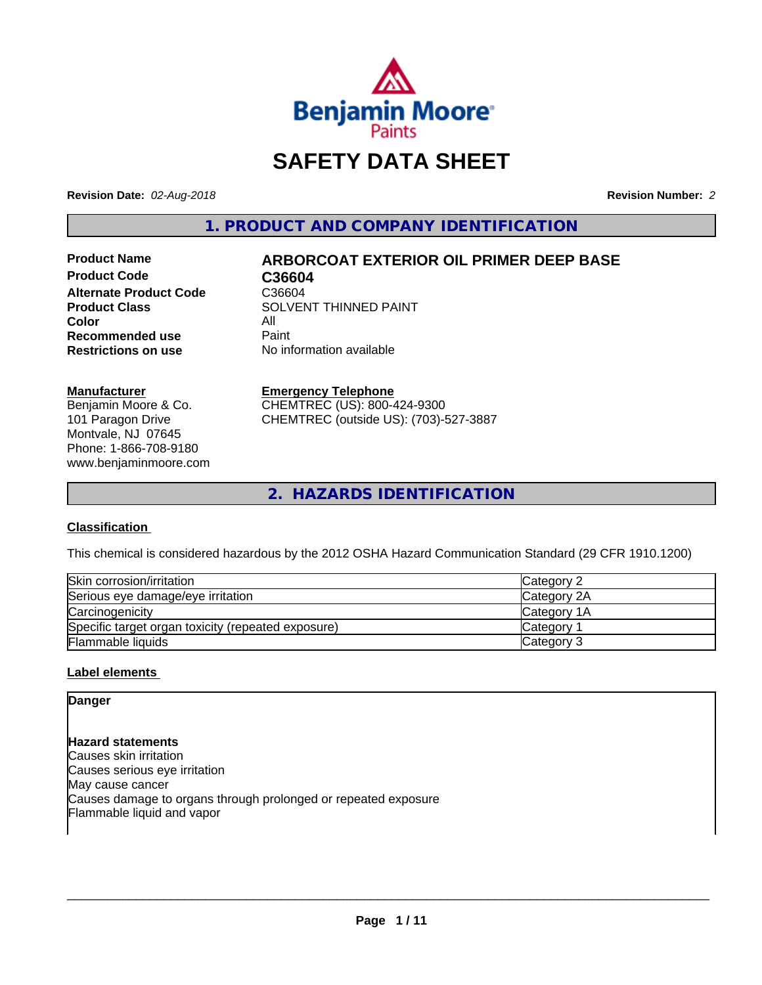

# **SAFETY DATA SHEET**

**Revision Date:** *02-Aug-2018* **Revision Number:** *2*

**1. PRODUCT AND COMPANY IDENTIFICATION**

Product Code **C36604 Alternate Product Code** C36604<br>Product Class SOLVEN **Color** All<br> **Recommended use** Paint **Recommended use**<br>Restrictions on use

# **Product Name ARBORCOAT EXTERIOR OIL PRIMER DEEP BASE**

**SOLVENT THINNED PAINT No information available** 

#### **Manufacturer**

Benjamin Moore & Co. 101 Paragon Drive Montvale, NJ 07645 Phone: 1-866-708-9180 www.benjaminmoore.com

#### **Emergency Telephone**

CHEMTREC (US): 800-424-9300 CHEMTREC (outside US): (703)-527-3887

**2. HAZARDS IDENTIFICATION**

#### **Classification**

This chemical is considered hazardous by the 2012 OSHA Hazard Communication Standard (29 CFR 1910.1200)

| Skin corrosion/irritation                          | Category 2      |
|----------------------------------------------------|-----------------|
| Serious eye damage/eye irritation                  | Category 2A     |
| Carcinogenicity                                    | Category 1A     |
| Specific target organ toxicity (repeated exposure) | <b>Category</b> |
| <b>Flammable liquids</b>                           | Category 3      |

#### **Label elements**

# **Danger**

**Hazard statements** Causes skin irritation Causes serious eye irritation May cause cancer Causes damage to organs through prolonged or repeated exposure Flammable liquid and vapor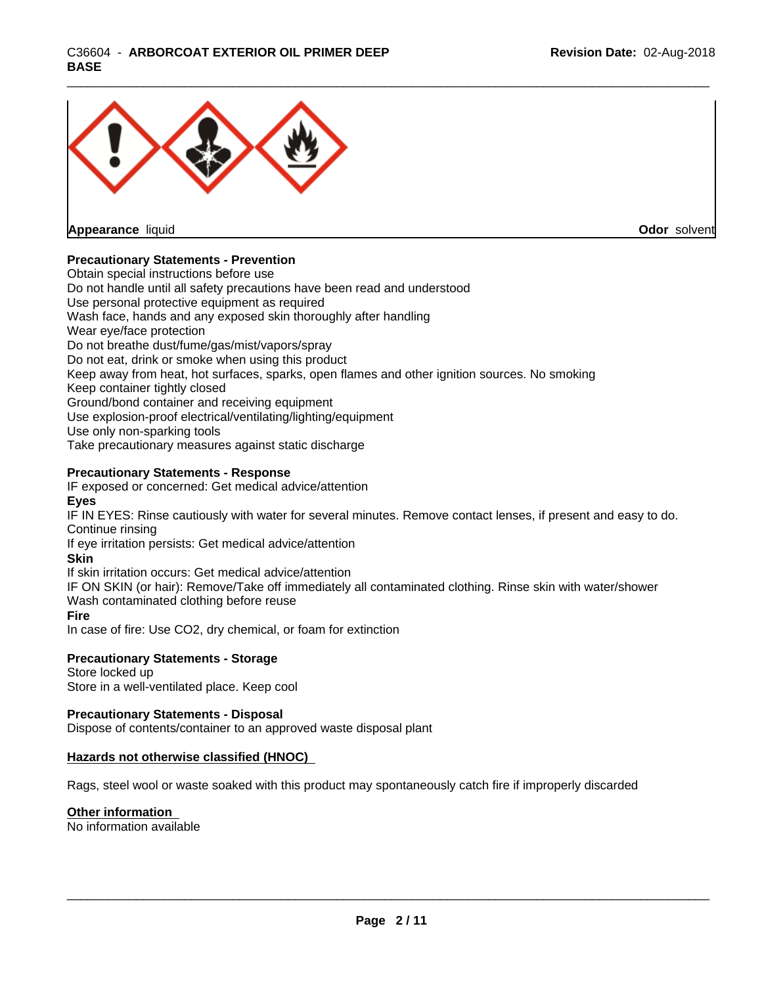

**Appearance** liquid

**Odor** solvent

#### **Precautionary Statements - Prevention**

Obtain special instructions before use Do not handle until all safety precautions have been read and understood Use personal protective equipment as required Wash face, hands and any exposed skin thoroughly after handling Wear eye/face protection Do not breathe dust/fume/gas/mist/vapors/spray Do not eat, drink or smoke when using this product Keep away from heat, hot surfaces, sparks, open flames and other ignition sources. No smoking Keep container tightly closed Ground/bond container and receiving equipment Use explosion-proof electrical/ventilating/lighting/equipment Use only non-sparking tools Take precautionary measures against static discharge

#### **Precautionary Statements - Response**

IF exposed or concerned: Get medical advice/attention

#### **Eyes**

IF IN EYES: Rinse cautiously with water forseveral minutes. Remove contact lenses, if present and easy to do. Continue rinsing

If eye irritation persists: Get medical advice/attention

#### **Skin**

If skin irritation occurs: Get medical advice/attention

IF ON SKIN (or hair): Remove/Take off immediately all contaminated clothing. Rinse skin with water/shower Wash contaminated clothing before reuse

#### **Fire**

In case of fire: Use CO2, dry chemical, or foam for extinction

#### **Precautionary Statements - Storage**

Store locked up Store in a well-ventilated place. Keep cool

#### **Precautionary Statements - Disposal**

Dispose of contents/container to an approved waste disposal plant

#### **Hazards not otherwise classified (HNOC)**

Rags, steel wool or waste soaked with this product may spontaneously catch fire if improperly discarded

#### **Other information**

No information available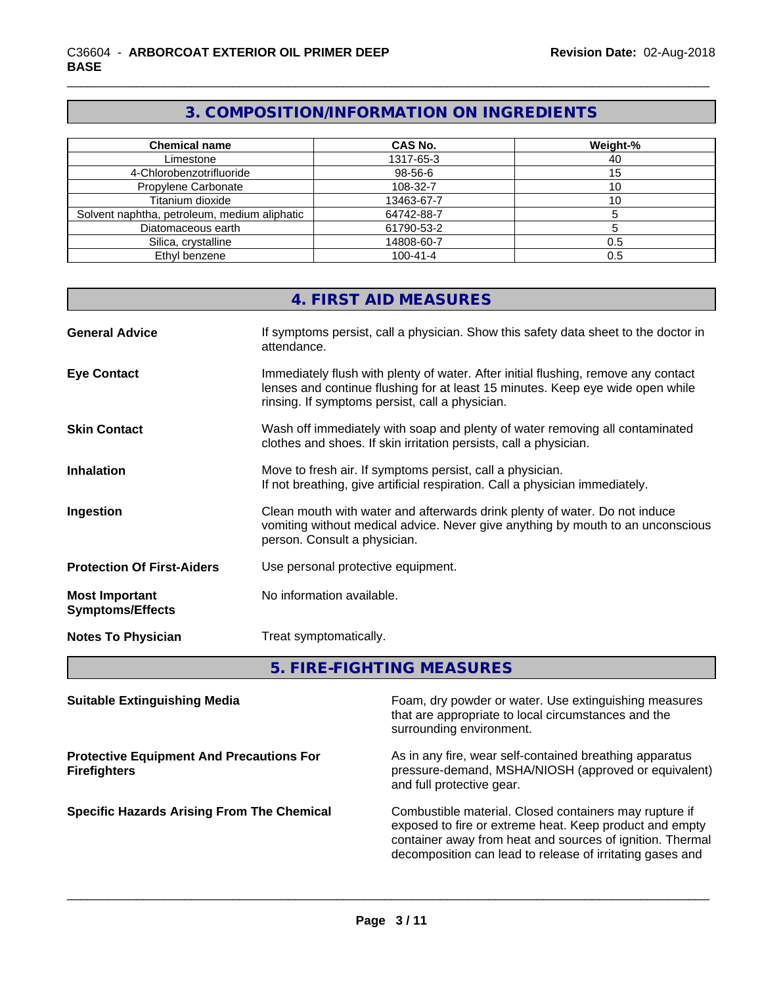# **3. COMPOSITION/INFORMATION ON INGREDIENTS**

| <b>Chemical name</b>                         | <b>CAS No.</b> | Weight-% |
|----------------------------------------------|----------------|----------|
| Limestone                                    | 1317-65-3      | 40       |
| 4-Chlorobenzotrifluoride                     | 98-56-6        | 15       |
| Propylene Carbonate                          | 108-32-7       | ιO       |
| Titanium dioxide                             | 13463-67-7     |          |
| Solvent naphtha, petroleum, medium aliphatic | 64742-88-7     |          |
| Diatomaceous earth                           | 61790-53-2     |          |
| Silica, crystalline                          | 14808-60-7     | 0.5      |
| Ethyl benzene                                | $100 - 41 - 4$ | 0.5      |

# **4. FIRST AID MEASURES**

| <b>General Advice</b>                            | If symptoms persist, call a physician. Show this safety data sheet to the doctor in<br>attendance.                                                                                                                      |
|--------------------------------------------------|-------------------------------------------------------------------------------------------------------------------------------------------------------------------------------------------------------------------------|
| <b>Eye Contact</b>                               | Immediately flush with plenty of water. After initial flushing, remove any contact<br>lenses and continue flushing for at least 15 minutes. Keep eye wide open while<br>rinsing. If symptoms persist, call a physician. |
| <b>Skin Contact</b>                              | Wash off immediately with soap and plenty of water removing all contaminated<br>clothes and shoes. If skin irritation persists, call a physician.                                                                       |
| <b>Inhalation</b>                                | Move to fresh air. If symptoms persist, call a physician.<br>If not breathing, give artificial respiration. Call a physician immediately.                                                                               |
| Ingestion                                        | Clean mouth with water and afterwards drink plenty of water. Do not induce<br>vomiting without medical advice. Never give anything by mouth to an unconscious<br>person. Consult a physician.                           |
| <b>Protection Of First-Aiders</b>                | Use personal protective equipment.                                                                                                                                                                                      |
| <b>Most Important</b><br><b>Symptoms/Effects</b> | No information available.                                                                                                                                                                                               |
| <b>Notes To Physician</b>                        | Treat symptomatically.                                                                                                                                                                                                  |

**5. FIRE-FIGHTING MEASURES**

| <b>Suitable Extinguishing Media</b>                                    | Foam, dry powder or water. Use extinguishing measures<br>that are appropriate to local circumstances and the<br>surrounding environment.                                                                                                    |
|------------------------------------------------------------------------|---------------------------------------------------------------------------------------------------------------------------------------------------------------------------------------------------------------------------------------------|
| <b>Protective Equipment And Precautions For</b><br><b>Firefighters</b> | As in any fire, wear self-contained breathing apparatus<br>pressure-demand, MSHA/NIOSH (approved or equivalent)<br>and full protective gear.                                                                                                |
| <b>Specific Hazards Arising From The Chemical</b>                      | Combustible material. Closed containers may rupture if<br>exposed to fire or extreme heat. Keep product and empty<br>container away from heat and sources of ignition. Thermal<br>decomposition can lead to release of irritating gases and |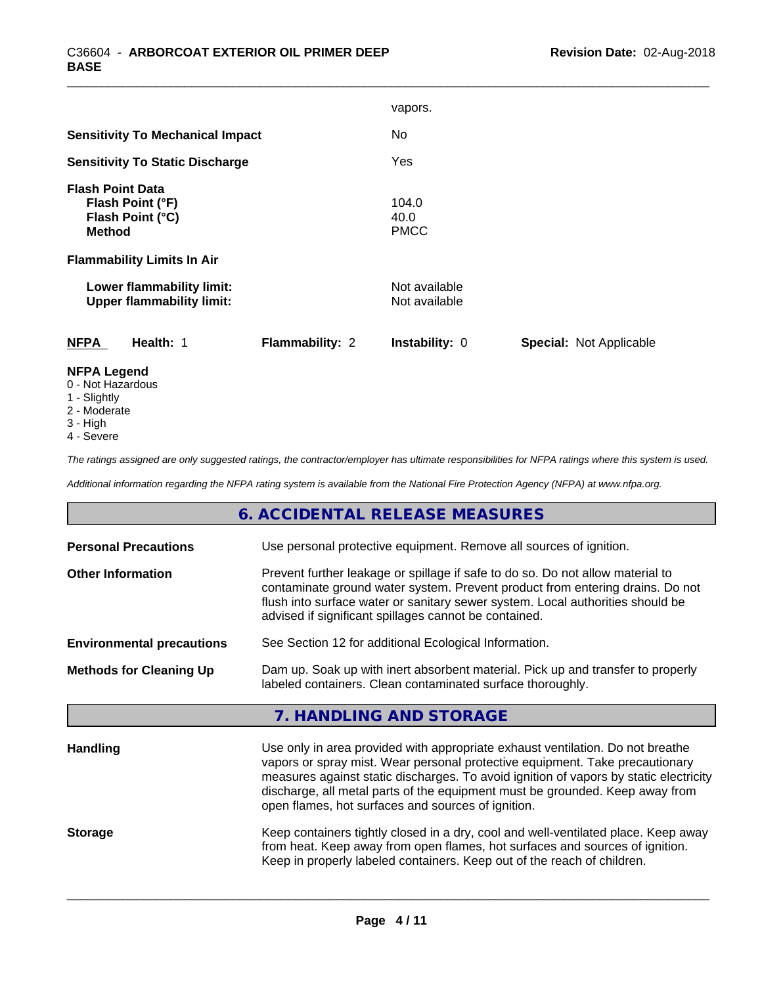|                                                                                  |                 | vapors.                        |                                |
|----------------------------------------------------------------------------------|-----------------|--------------------------------|--------------------------------|
| <b>Sensitivity To Mechanical Impact</b>                                          |                 | No.                            |                                |
| <b>Sensitivity To Static Discharge</b>                                           |                 | Yes                            |                                |
| <b>Flash Point Data</b><br>Flash Point (°F)<br>Flash Point (°C)<br><b>Method</b> |                 | 104.0<br>40.0<br><b>PMCC</b>   |                                |
| <b>Flammability Limits In Air</b>                                                |                 |                                |                                |
| Lower flammability limit:<br><b>Upper flammability limit:</b>                    |                 | Not available<br>Not available |                                |
| <b>NFPA</b><br>Health: 1                                                         | Flammability: 2 | Instability: 0                 | <b>Special: Not Applicable</b> |
| <b>NEDA Logand</b>                                                               |                 |                                |                                |

- **NFPA Legend** 0 - Not Hazardous
- 
- 1 Slightly 2 - Moderate
- 
- 3 High
- 4 Severe

*The ratings assigned are only suggested ratings, the contractor/employer has ultimate responsibilities for NFPA ratings where this system is used.*

*Additional information regarding the NFPA rating system is available from the National Fire Protection Agency (NFPA) at www.nfpa.org.*

# **6. ACCIDENTAL RELEASE MEASURES**

| Prevent further leakage or spillage if safe to do so. Do not allow material to<br><b>Other Information</b><br>contaminate ground water system. Prevent product from entering drains. Do not<br>flush into surface water or sanitary sewer system. Local authorities should be<br>advised if significant spillages cannot be contained.<br>See Section 12 for additional Ecological Information.<br><b>Environmental precautions</b><br>Dam up. Soak up with inert absorbent material. Pick up and transfer to properly<br><b>Methods for Cleaning Up</b><br>labeled containers. Clean contaminated surface thoroughly.<br>7. HANDLING AND STORAGE<br>Use only in area provided with appropriate exhaust ventilation. Do not breathe<br><b>Handling</b><br>vapors or spray mist. Wear personal protective equipment. Take precautionary<br>measures against static discharges. To avoid ignition of vapors by static electricity<br>discharge, all metal parts of the equipment must be grounded. Keep away from<br>open flames, hot surfaces and sources of ignition.<br>Keep containers tightly closed in a dry, cool and well-ventilated place. Keep away<br><b>Storage</b><br>from heat. Keep away from open flames, hot surfaces and sources of ignition.<br>Keep in properly labeled containers. Keep out of the reach of children. | <b>Personal Precautions</b> | Use personal protective equipment. Remove all sources of ignition. |  |  |  |
|------------------------------------------------------------------------------------------------------------------------------------------------------------------------------------------------------------------------------------------------------------------------------------------------------------------------------------------------------------------------------------------------------------------------------------------------------------------------------------------------------------------------------------------------------------------------------------------------------------------------------------------------------------------------------------------------------------------------------------------------------------------------------------------------------------------------------------------------------------------------------------------------------------------------------------------------------------------------------------------------------------------------------------------------------------------------------------------------------------------------------------------------------------------------------------------------------------------------------------------------------------------------------------------------------------------------------------------|-----------------------------|--------------------------------------------------------------------|--|--|--|
|                                                                                                                                                                                                                                                                                                                                                                                                                                                                                                                                                                                                                                                                                                                                                                                                                                                                                                                                                                                                                                                                                                                                                                                                                                                                                                                                          |                             |                                                                    |  |  |  |
|                                                                                                                                                                                                                                                                                                                                                                                                                                                                                                                                                                                                                                                                                                                                                                                                                                                                                                                                                                                                                                                                                                                                                                                                                                                                                                                                          |                             |                                                                    |  |  |  |
|                                                                                                                                                                                                                                                                                                                                                                                                                                                                                                                                                                                                                                                                                                                                                                                                                                                                                                                                                                                                                                                                                                                                                                                                                                                                                                                                          |                             |                                                                    |  |  |  |
|                                                                                                                                                                                                                                                                                                                                                                                                                                                                                                                                                                                                                                                                                                                                                                                                                                                                                                                                                                                                                                                                                                                                                                                                                                                                                                                                          |                             |                                                                    |  |  |  |
|                                                                                                                                                                                                                                                                                                                                                                                                                                                                                                                                                                                                                                                                                                                                                                                                                                                                                                                                                                                                                                                                                                                                                                                                                                                                                                                                          |                             |                                                                    |  |  |  |
|                                                                                                                                                                                                                                                                                                                                                                                                                                                                                                                                                                                                                                                                                                                                                                                                                                                                                                                                                                                                                                                                                                                                                                                                                                                                                                                                          |                             |                                                                    |  |  |  |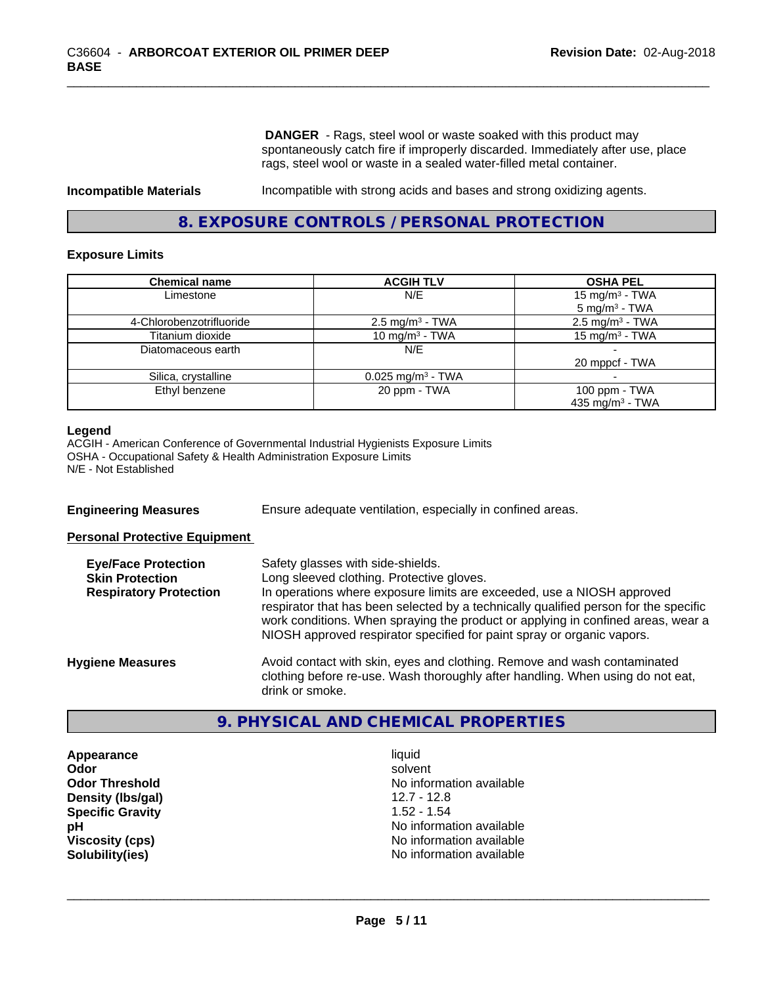**DANGER** - Rags, steel wool or waste soaked with this product may spontaneously catch fire if improperly discarded. Immediately after use, place rags, steel wool or waste in a sealed water-filled metal container.

**Incompatible Materials** Incompatible with strong acids and bases and strong oxidizing agents.

# **8. EXPOSURE CONTROLS / PERSONAL PROTECTION**

#### **Exposure Limits**

| <b>Chemical name</b>     | <b>ACGIH TLV</b>                | <b>OSHA PEL</b>                                        |
|--------------------------|---------------------------------|--------------------------------------------------------|
| Limestone                | N/E                             | 15 mg/m <sup>3</sup> - TWA<br>$5 \text{ mg/m}^3$ - TWA |
| 4-Chlorobenzotrifluoride | $2.5 \text{ mg/m}^3$ - TWA      | $2.5$ mg/m <sup>3</sup> - TWA                          |
| Titanium dioxide         | 10 mg/m <sup>3</sup> - TWA      | 15 mg/m <sup>3</sup> - TWA                             |
| Diatomaceous earth       | N/E                             |                                                        |
|                          |                                 | 20 mppcf - TWA                                         |
| Silica, crystalline      | $0.025$ mg/m <sup>3</sup> - TWA |                                                        |
| Ethyl benzene            | 20 ppm - TWA                    | 100 ppm $-$ TWA                                        |
|                          |                                 | 435 mg/m <sup>3</sup> - TWA                            |

#### **Legend**

ACGIH - American Conference of Governmental Industrial Hygienists Exposure Limits OSHA - Occupational Safety & Health Administration Exposure Limits N/E - Not Established

**Engineering Measures** Ensure adequate ventilation, especially in confined areas.

**Personal Protective Equipment**

| <b>Eye/Face Protection</b><br><b>Skin Protection</b><br><b>Respiratory Protection</b> | Safety glasses with side-shields.<br>Long sleeved clothing. Protective gloves.<br>In operations where exposure limits are exceeded, use a NIOSH approved<br>respirator that has been selected by a technically qualified person for the specific<br>work conditions. When spraying the product or applying in confined areas, wear a<br>NIOSH approved respirator specified for paint spray or organic vapors. |
|---------------------------------------------------------------------------------------|----------------------------------------------------------------------------------------------------------------------------------------------------------------------------------------------------------------------------------------------------------------------------------------------------------------------------------------------------------------------------------------------------------------|
| <b>Hygiene Measures</b>                                                               | Avoid contact with skin, eyes and clothing. Remove and wash contaminated<br>clothing before re-use. Wash thoroughly after handling. When using do not eat,<br>drink or smoke.                                                                                                                                                                                                                                  |

#### **9. PHYSICAL AND CHEMICAL PROPERTIES**

**Appearance** liquid **Density (lbs/gal)** 12.7 - 12.8 **Specific Gravity** 1.52 - 1.54

**Odor** solvent **Odor Threshold No information available No information available pH** No information available **Viscosity (cps)** <br> **Viscosity (cps)** No information available<br>
No information available<br>
No information available **Solubility(ies)** No information available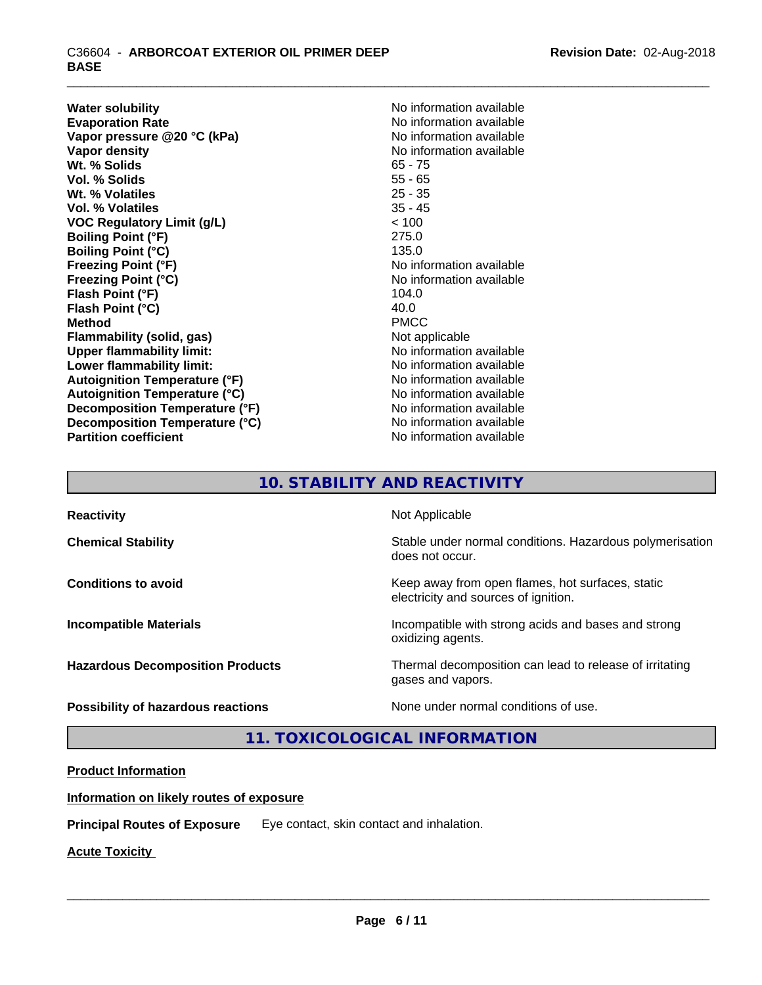**Water solubility**<br> **Evaporation Rate**<br> **Evaporation Rate**<br> **Evaporation Rate Vapor** pressure @20 °C (kPa) **Vapor density**<br> **We Solids**<br>
We Solid With the Solids<br>
We No information available<br>  $65 - 75$ Wt. % Solids **Vol. % Solids** 55 - 65 **Wt. % Volatiles** 25 - 35 **Vol. % Volatiles** 35 - 45 **VOC Regulatory Limit (g/L)** < 100 **Boiling Point (°F)** 275.0 **Boiling Point (°C)** 135.0 **Freezing Point (°F)** No information available **Freezing Point (°C)**<br> **Flash Point (°F)**<br> **Flash Point (°F)**<br> **Flash Point (°F)**<br> **C** 104.0 **Flash Point (°F) Flash Point (°C)** 40.0 **Method** PMCC **Flammability (solid, gas)** Not applicable **Upper flammability limit:** No information available **Lower flammability limit:** No information available **Autoignition Temperature (°F)** No information available **Autoignition Temperature (°C)** No information available **Decomposition Temperature (°F)** No information available **Decomposition Temperature (°C)** No information available **Partition coefficient** No information available

No information available<br>No information available

# **10. STABILITY AND REACTIVITY**

| <b>Reactivity</b>                       | Not Applicable                                                                           |
|-----------------------------------------|------------------------------------------------------------------------------------------|
| <b>Chemical Stability</b>               | Stable under normal conditions. Hazardous polymerisation<br>does not occur.              |
| <b>Conditions to avoid</b>              | Keep away from open flames, hot surfaces, static<br>electricity and sources of ignition. |
| <b>Incompatible Materials</b>           | Incompatible with strong acids and bases and strong<br>oxidizing agents.                 |
| <b>Hazardous Decomposition Products</b> | Thermal decomposition can lead to release of irritating<br>gases and vapors.             |
| Possibility of hazardous reactions      | None under normal conditions of use.                                                     |

**11. TOXICOLOGICAL INFORMATION**

# **Product Information**

#### **Information on likely routes of exposure**

**Principal Routes of Exposure** Eye contact, skin contact and inhalation.

**Acute Toxicity**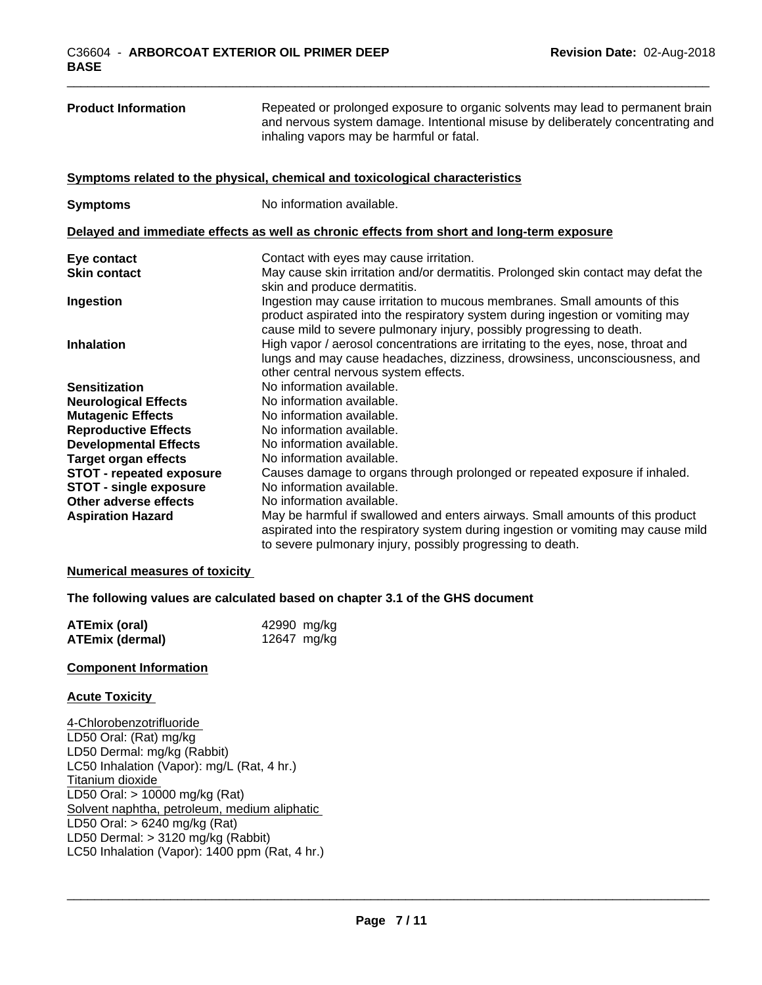LD50 Oral: > 10000 mg/kg (Rat)

LD50 Oral: > 6240 mg/kg (Rat) LD50 Dermal: > 3120 mg/kg (Rabbit)

LC50 Inhalation (Vapor): 1400 ppm (Rat, 4 hr.)

Solvent naphtha, petroleum, medium aliphatic

| <b>Product Information</b>                                                                                                      | Repeated or prolonged exposure to organic solvents may lead to permanent brain<br>and nervous system damage. Intentional misuse by deliberately concentrating and<br>inhaling vapors may be harmful or fatal.                        |
|---------------------------------------------------------------------------------------------------------------------------------|--------------------------------------------------------------------------------------------------------------------------------------------------------------------------------------------------------------------------------------|
|                                                                                                                                 | Symptoms related to the physical, chemical and toxicological characteristics                                                                                                                                                         |
| <b>Symptoms</b>                                                                                                                 | No information available.                                                                                                                                                                                                            |
|                                                                                                                                 | Delayed and immediate effects as well as chronic effects from short and long-term exposure                                                                                                                                           |
| Eye contact                                                                                                                     | Contact with eyes may cause irritation.                                                                                                                                                                                              |
| <b>Skin contact</b>                                                                                                             | May cause skin irritation and/or dermatitis. Prolonged skin contact may defat the<br>skin and produce dermatitis.                                                                                                                    |
| Ingestion                                                                                                                       | Ingestion may cause irritation to mucous membranes. Small amounts of this<br>product aspirated into the respiratory system during ingestion or vomiting may<br>cause mild to severe pulmonary injury, possibly progressing to death. |
| <b>Inhalation</b>                                                                                                               | High vapor / aerosol concentrations are irritating to the eyes, nose, throat and<br>lungs and may cause headaches, dizziness, drowsiness, unconsciousness, and<br>other central nervous system effects.                              |
| <b>Sensitization</b>                                                                                                            | No information available.                                                                                                                                                                                                            |
| <b>Neurological Effects</b>                                                                                                     | No information available.                                                                                                                                                                                                            |
| <b>Mutagenic Effects</b>                                                                                                        | No information available.                                                                                                                                                                                                            |
| <b>Reproductive Effects</b>                                                                                                     | No information available.                                                                                                                                                                                                            |
| <b>Developmental Effects</b>                                                                                                    | No information available.                                                                                                                                                                                                            |
| <b>Target organ effects</b>                                                                                                     | No information available.                                                                                                                                                                                                            |
| <b>STOT - repeated exposure</b>                                                                                                 | Causes damage to organs through prolonged or repeated exposure if inhaled.<br>No information available.                                                                                                                              |
| <b>STOT - single exposure</b><br>Other adverse effects                                                                          | No information available.                                                                                                                                                                                                            |
| <b>Aspiration Hazard</b>                                                                                                        | May be harmful if swallowed and enters airways. Small amounts of this product<br>aspirated into the respiratory system during ingestion or vomiting may cause mild<br>to severe pulmonary injury, possibly progressing to death.     |
| <b>Numerical measures of toxicity</b>                                                                                           |                                                                                                                                                                                                                                      |
|                                                                                                                                 | The following values are calculated based on chapter 3.1 of the GHS document                                                                                                                                                         |
| <b>ATEmix (oral)</b>                                                                                                            | 42990 mg/kg                                                                                                                                                                                                                          |
| <b>ATEmix (dermal)</b>                                                                                                          | 12647 mg/kg                                                                                                                                                                                                                          |
| <b>Component Information</b>                                                                                                    |                                                                                                                                                                                                                                      |
| <b>Acute Toxicity</b>                                                                                                           |                                                                                                                                                                                                                                      |
| 4-Chlorobenzotrifluoride<br>LD50 Oral: (Rat) mg/kg<br>LD50 Dermal: mg/kg (Rabbit)<br>LC50 Inhalation (Vapor): mg/L (Rat, 4 hr.) |                                                                                                                                                                                                                                      |
| Titanium dioxide                                                                                                                |                                                                                                                                                                                                                                      |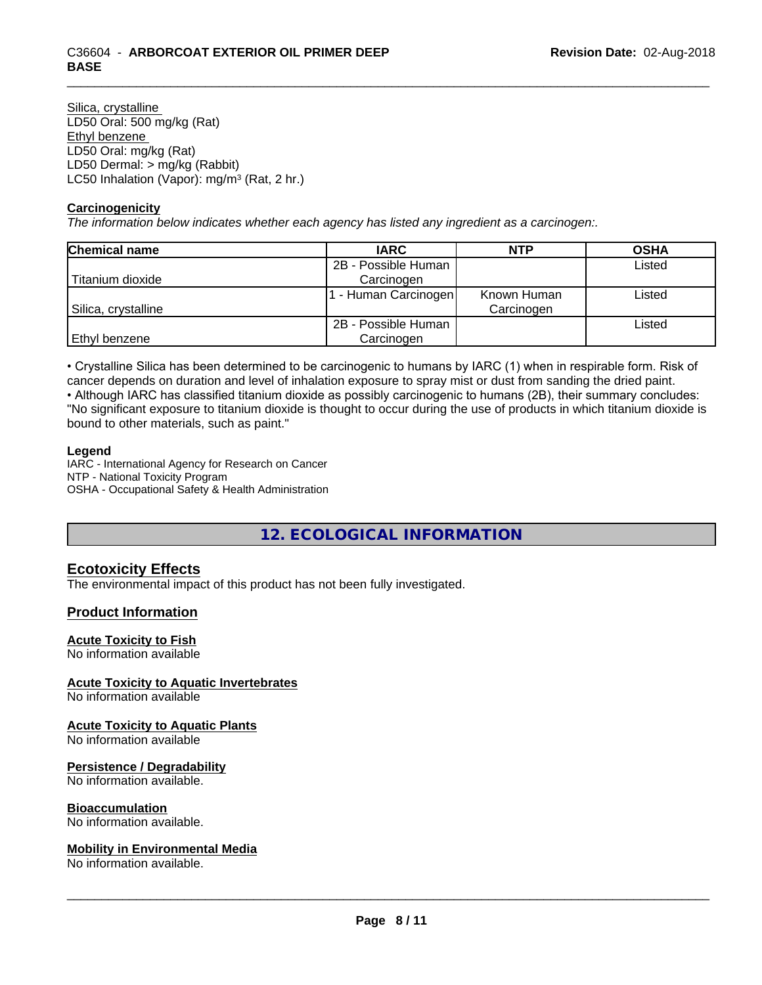Silica, crystalline LD50 Oral: 500 mg/kg (Rat) Ethyl benzene LD50 Oral: mg/kg (Rat) LD50 Dermal: > mg/kg (Rabbit) LC50 Inhalation (Vapor): mg/m<sup>3</sup> (Rat, 2 hr.)

#### **Carcinogenicity**

*The information below indicateswhether each agency has listed any ingredient as a carcinogen:.*

| <b>Chemical name</b> | <b>IARC</b>         | <b>NTP</b>  | <b>OSHA</b> |
|----------------------|---------------------|-------------|-------------|
|                      | 2B - Possible Human |             | Listed      |
| Titanium dioxide     | Carcinogen          |             |             |
|                      | - Human Carcinogen  | Known Human | Listed      |
| Silica, crystalline  |                     | Carcinogen  |             |
|                      | 2B - Possible Human |             | Listed      |
| Ethyl benzene        | Carcinogen          |             |             |

• Crystalline Silica has been determined to be carcinogenic to humans by IARC (1) when in respirable form. Risk of cancer depends on duration and level of inhalation exposure to spray mist or dust from sanding the dried paint.

• Although IARC has classified titanium dioxide as possibly carcinogenic to humans (2B), their summary concludes: "No significant exposure to titanium dioxide is thought to occur during the use of products in which titanium dioxide is bound to other materials, such as paint."

#### **Legend**

IARC - International Agency for Research on Cancer NTP - National Toxicity Program OSHA - Occupational Safety & Health Administration

**12. ECOLOGICAL INFORMATION**

# **Ecotoxicity Effects**

The environmental impact of this product has not been fully investigated.

#### **Product Information**

#### **Acute Toxicity to Fish**

No information available

#### **Acute Toxicity to Aquatic Invertebrates**

No information available

#### **Acute Toxicity to Aquatic Plants**

No information available

#### **Persistence / Degradability**

No information available.

#### **Bioaccumulation**

No information available.

#### **Mobility in Environmental Media**

No information available.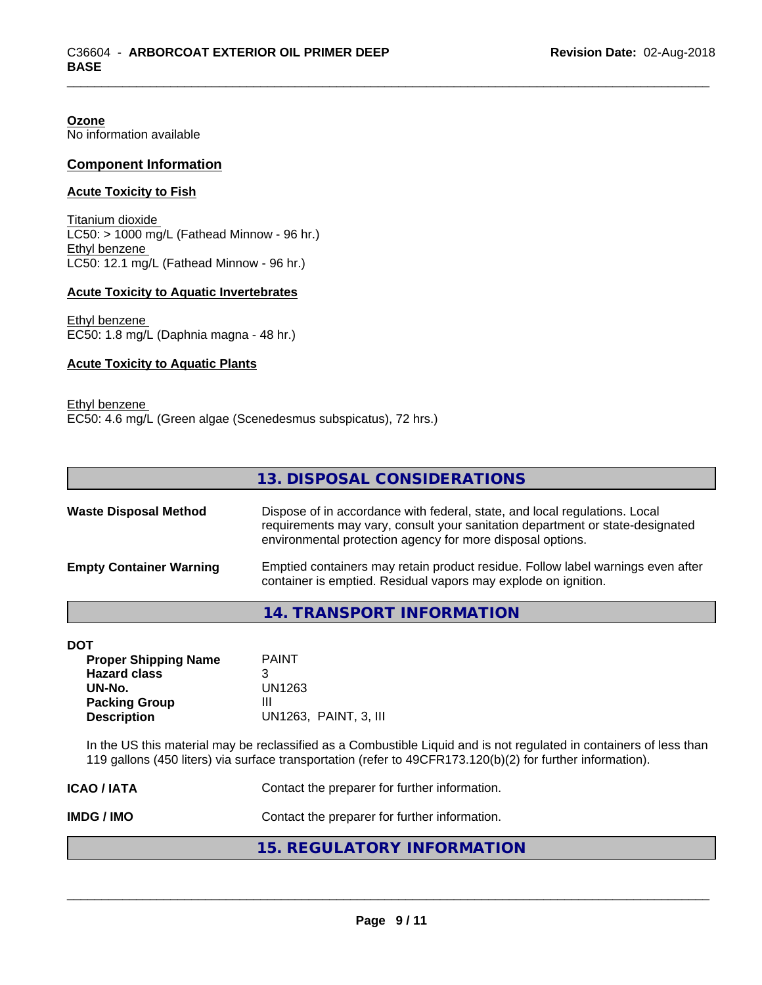**Ozone** No information available

#### **Component Information**

#### **Acute Toxicity to Fish**

Titanium dioxide  $LC50:$  > 1000 mg/L (Fathead Minnow - 96 hr.) Ethyl benzene LC50: 12.1 mg/L (Fathead Minnow - 96 hr.)

#### **Acute Toxicity to Aquatic Invertebrates**

Ethyl benzene EC50: 1.8 mg/L (Daphnia magna - 48 hr.)

#### **Acute Toxicity to Aquatic Plants**

Ethyl benzene EC50: 4.6 mg/L (Green algae (Scenedesmus subspicatus), 72 hrs.)

|                                | 13. DISPOSAL CONSIDERATIONS                                                                                                                                                                                               |
|--------------------------------|---------------------------------------------------------------------------------------------------------------------------------------------------------------------------------------------------------------------------|
| <b>Waste Disposal Method</b>   | Dispose of in accordance with federal, state, and local regulations. Local<br>requirements may vary, consult your sanitation department or state-designated<br>environmental protection agency for more disposal options. |
| <b>Empty Container Warning</b> | Emptied containers may retain product residue. Follow label warnings even after<br>container is emptied. Residual vapors may explode on ignition.                                                                         |

#### **14. TRANSPORT INFORMATION**

| DOT                         |                       |
|-----------------------------|-----------------------|
| <b>Proper Shipping Name</b> | <b>PAINT</b>          |
| <b>Hazard class</b>         | 3                     |
| UN-No.                      | UN1263                |
| <b>Packing Group</b>        | Ш                     |
| <b>Description</b>          | UN1263, PAINT, 3, III |

In the US this material may be reclassified as a Combustible Liquid and is not regulated in containers of less than 119 gallons (450 liters) via surface transportation (refer to 49CFR173.120(b)(2) for further information).

| IMDG / IMO         | Contact the preparer for further information. |
|--------------------|-----------------------------------------------|
| <b>ICAO / IATA</b> | Contact the preparer for further information. |

# **15. REGULATORY INFORMATION**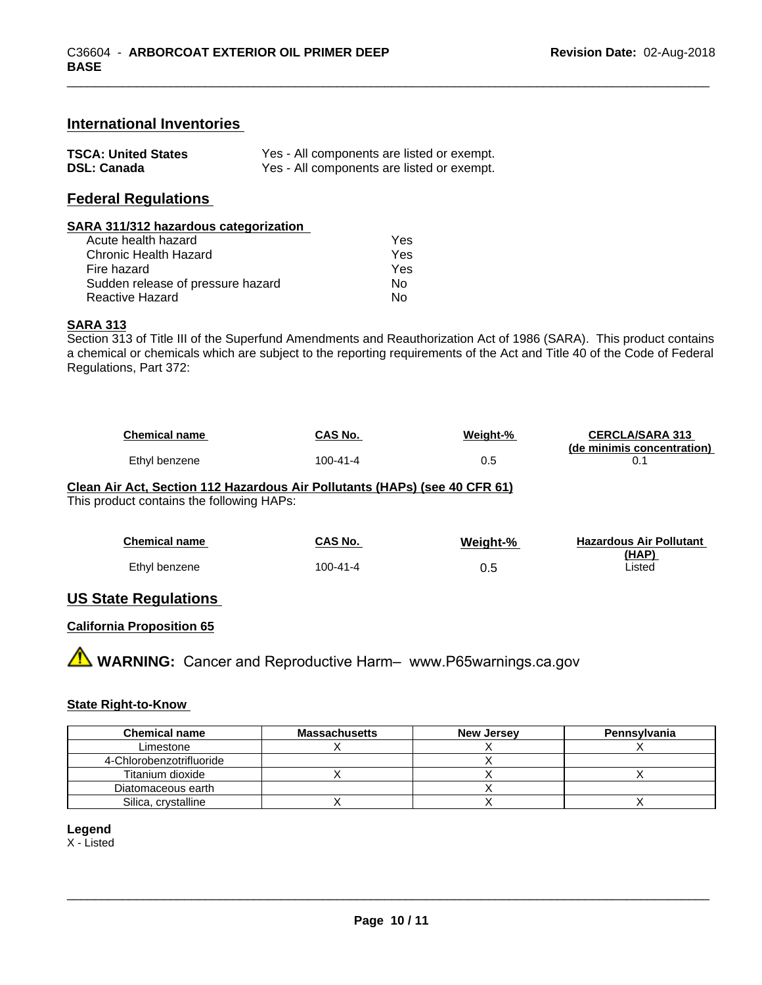### **International Inventories**

| <b>TSCA: United States</b> | Yes - All components are listed or exempt. |
|----------------------------|--------------------------------------------|
| <b>DSL: Canada</b>         | Yes - All components are listed or exempt. |

# **Federal Regulations**

#### **SARA 311/312 hazardous categorization**

| Acute health hazard               | Yes |  |
|-----------------------------------|-----|--|
| Chronic Health Hazard             | Yes |  |
| Fire hazard                       | Yes |  |
| Sudden release of pressure hazard | Nο  |  |
| Reactive Hazard                   | N٥  |  |

#### **SARA 313**

Section 313 of Title III of the Superfund Amendments and Reauthorization Act of 1986 (SARA). This product contains a chemical or chemicals which are subject to the reporting requirements of the Act and Title 40 of the Code of Federal Regulations, Part 372:

| <b>Chemical name</b> | CAS No.  | Weight-% | <b>CERCLA/SARA 313</b>     |
|----------------------|----------|----------|----------------------------|
|                      |          |          | (de minimis concentration) |
| Ethyl benzene        | 100-41-4 | ∪.⊾      |                            |

#### **Clean Air Act,Section 112 Hazardous Air Pollutants (HAPs) (see 40 CFR 61)**

This product contains the following HAPs:

| <b>Chemical name</b> | CAS No.        | Weight-% | <b>Hazardous Air Pollutant</b> |
|----------------------|----------------|----------|--------------------------------|
| Ethyl benzene        | $100 - 41 - 4$ | 0.5      | (HAP)<br>Listed                |

#### **US State Regulations**

#### **California Proposition 65**

**A** WARNING: Cancer and Reproductive Harm– www.P65warnings.ca.gov

#### **State Right-to-Know**

| <b>Chemical name</b>     | <b>Massachusetts</b> | <b>New Jersey</b> | Pennsylvania |
|--------------------------|----------------------|-------------------|--------------|
| Limestone                |                      |                   |              |
| 4-Chlorobenzotrifluoride |                      |                   |              |
| Titanium dioxide         |                      |                   |              |
| Diatomaceous earth       |                      |                   |              |
| Silica, crystalline      |                      |                   |              |

#### **Legend**

X - Listed